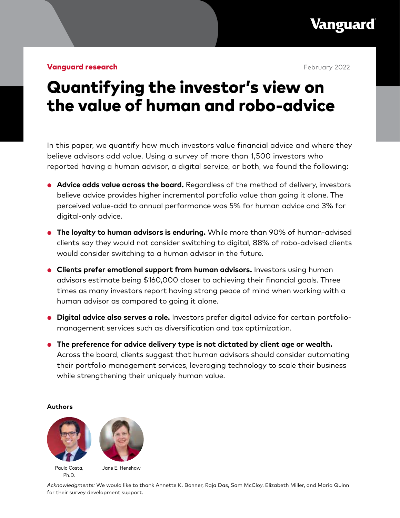**Vanguard** 

**Vanguard research February 2022** 

# Quantifying the investor's view on the value of human and robo-advice

In this paper, we quantify how much investors value financial advice and where they believe advisors add value. Using a survey of more than 1,500 investors who reported having a human advisor, a digital service, or both, we found the following:

- **Advice adds value across the board.** Regardless of the method of delivery, investors believe advice provides higher incremental portfolio value than going it alone. The perceived value-add to annual performance was 5% for human advice and 3% for digital-only advice.
- **The loyalty to human advisors is enduring.** While more than 90% of human-advised clients say they would not consider switching to digital, 88% of robo-advised clients would consider switching to a human advisor in the future.
- **Clients prefer emotional support from human advisors.** Investors using human advisors estimate being \$160,000 closer to achieving their financial goals. Three times as many investors report having strong peace of mind when working with a human advisor as compared to going it alone.
- **Digital advice also serves a role.** Investors prefer digital advice for certain portfoliomanagement services such as diversification and tax optimization.
- **The preference for advice delivery type is not dictated by client age or wealth.** Across the board, clients suggest that human advisors should consider automating their portfolio management services, leveraging technology to scale their business while strengthening their uniquely human value.

#### **Authors**





Paulo Costa, Ph.D.

Jane E. Henshaw

*Acknowledgments:* We would like to thank Annette K. Bonner, Raja Das, Sam McCloy, Elizabeth Miller, and Maria Quinn for their survey development support.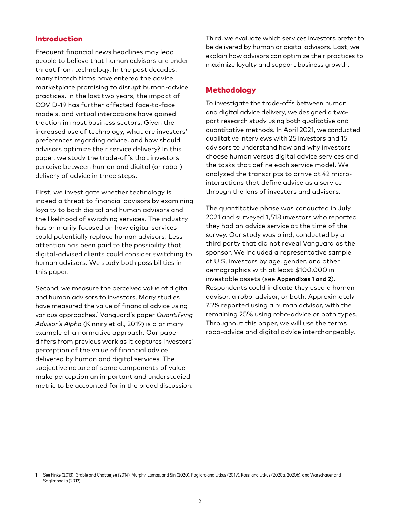## Introduction

Frequent financial news headlines may lead people to believe that human advisors are under threat from technology. In the past decades, many fintech firms have entered the advice marketplace promising to disrupt human-advice practices. In the last two years, the impact of COVID-19 has further affected face-to-face models, and virtual interactions have gained traction in most business sectors. Given the increased use of technology, what are investors' preferences regarding advice, and how should advisors optimize their service delivery? In this paper, we study the trade-offs that investors perceive between human and digital (or robo-) delivery of advice in three steps.

First, we investigate whether technology is indeed a threat to financial advisors by examining loyalty to both digital and human advisors and the likelihood of switching services. The industry has primarily focused on how digital services could potentially replace human advisors. Less attention has been paid to the possibility that digital-advised clients could consider switching to human advisors. We study both possibilities in this paper.

Second, we measure the perceived value of digital and human advisors to investors. Many studies have measured the value of financial advice using various approaches.1 Vanguard's paper *Quantifying Advisor's Alpha* (Kinniry et al., 2019) is a primary example of a normative approach. Our paper differs from previous work as it captures investors' perception of the value of financial advice delivered by human and digital services. The subjective nature of some components of value make perception an important and understudied metric to be accounted for in the broad discussion. Third, we evaluate which services investors prefer to be delivered by human or digital advisors. Last, we explain how advisors can optimize their practices to maximize loyalty and support business growth.

## Methodology

To investigate the trade-offs between human and digital advice delivery, we designed a twopart research study using both qualitative and quantitative methods. In April 2021, we conducted qualitative interviews with 25 investors and 15 advisors to understand how and why investors choose human versus digital advice services and the tasks that define each service model. We analyzed the transcripts to arrive at 42 microinteractions that define advice as a service through the lens of investors and advisors.

The quantitative phase was conducted in July 2021 and surveyed 1,518 investors who reported they had an advice service at the time of the survey. Our study was blind, conducted by a third party that did not reveal Vanguard as the sponsor. We included a representative sample of U.S. investors by age, gender, and other demographics with at least \$100,000 in investable assets (see **Appendixes 1 and 2**). Respondents could indicate they used a human advisor, a robo-advisor, or both. Approximately 75% reported using a human advisor, with the remaining 25% using robo-advice or both types. Throughout this paper, we will use the terms robo-advice and digital advice interchangeably.

**<sup>1</sup>** See Finke (2013), Grable and Chatterjee (2014), Murphy, Lamas, and Sin (2020), Pagliaro and Utkus (2019), Rossi and Utkus (2020a, 2020b), and Warschauer and Sciglimpaglia (2012).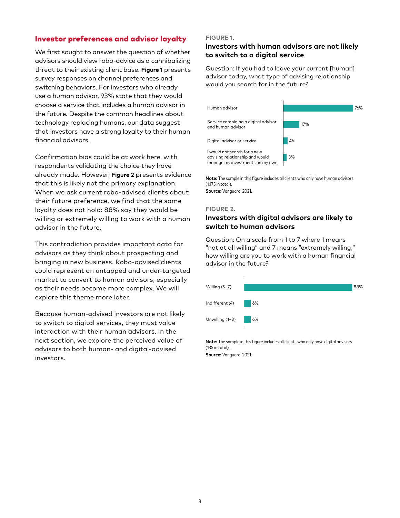# Investor preferences and advisor loyalty

We first sought to answer the question of whether advisors should view robo-advice as a cannibalizing threat to their existing client base. **Figure 1** presents survey responses on channel preferences and switching behaviors. For investors who already use a human advisor, 93% state that they would choose a service that includes a human advisor in the future. Despite the common headlines about technology replacing humans, our data suggest that investors have a strong loyalty to their human financial advisors.

Confirmation bias could be at work here, with respondents validating the choice they have already made. However, **Figure 2** presents evidence that this is likely not the primary explanation. When we ask current robo-advised clients about their future preference, we find that the same loyalty does not hold: 88% say they would be willing or extremely willing to work with a human advisor in the future.

This contradiction provides important data for advisors as they think about prospecting and bringing in new business. Robo-advised clients could represent an untapped and under-targeted market to convert to human advisors, especially as their needs become more complex. We will explore this theme more later.

Because human-advised investors are not likely to switch to digital services, they must value interaction with their human advisors. In the next section, we explore the perceived value of advisors to both human- and digital-advised investors.

#### **FIGURE 1.**

## **Investors with human advisors are not likely to switch to a digital service**

Question: If you had to leave your current [human] advisor today, what type of advising relationship would you search for in the future?



**Note:** The sample in this figure includes all clients who only have human advisors (1,175 in total).

**Source:** Vanguard, 2021.

#### **FIGURE 2.**

## **Investors with digital advisors are likely to switch to human advisors**

Question: On a scale from 1 to 7 where 1 means "not at all willing" and 7 means "extremely willing," how willing are you to work with a human financial advisor in the future?



**Note:** The sample in this figure includes all clients who only have digital advisors (135 in total).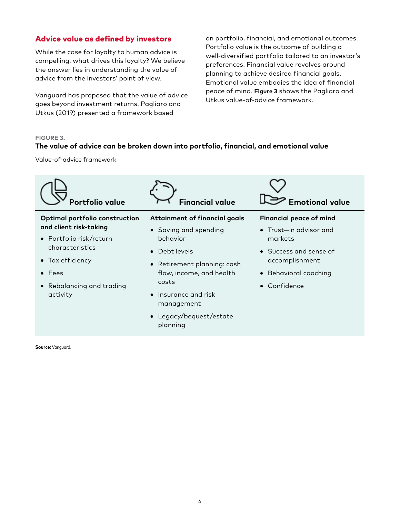# Advice value as defined by investors

While the case for loyalty to human advice is compelling, what drives this loyalty? We believe the answer lies in understanding the value of advice from the investors' point of view.

Vanguard has proposed that the value of advice goes beyond investment returns. Pagliaro and Utkus (2019) presented a framework based

on portfolio, financial, and emotional outcomes. Portfolio value is the outcome of building a well-diversified portfolio tailored to an investor's preferences. Financial value revolves around planning to achieve desired financial goals. Emotional value embodies the idea of financial peace of mind. **Figure 3** shows the Pagliaro and Utkus value-of-advice framework.

#### **FIGURE 3.**

#### **The value of advice can be broken down into portfolio, financial, and emotional value**

Value-of-advice framework

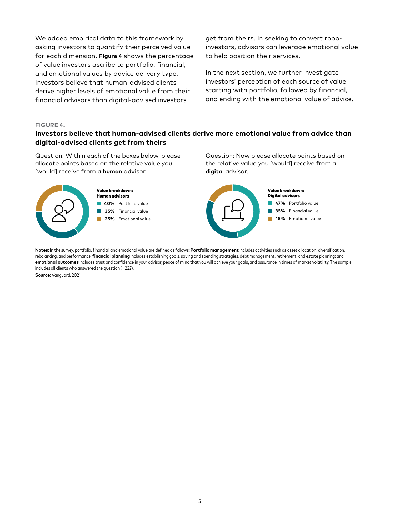We added empirical data to this framework by asking investors to quantify their perceived value for each dimension. **Figure 4** shows the percentage of value investors ascribe to portfolio, financial, and emotional values by advice delivery type. Investors believe that human-advised clients derive higher levels of emotional value from their financial advisors than digital-advised investors

get from theirs. In seeking to convert roboinvestors, advisors can leverage emotional value to help position their services.

In the next section, we further investigate investors' perception of each source of value, starting with portfolio, followed by financial, and ending with the emotional value of advice.

#### **FIGURE 4.**

## **Investors believe that human-advised clients derive more emotional value from advice than digital-advised clients get from theirs**

Question: Within each of the boxes below, please allocate points based on the relative value you [would] receive from a **human** advisor.



#### **40%** Portfolio value Value breakdown: Human advisors

 $\sim$ **35%** Financial value

**25%** Emotional value

Question: Now please allocate points based on the relative value you [would] receive from a **digita**l advisor.



**Notes:** In the survey, portfolio, financial, and emotional value are defined as follows: **Portfolio management** includes activities such as asset allocation, diversification, rebalancing, and performance; **financial planning** includes establishing goals, saving and spending strategies, debt management, retirement, and estate planning; and **emotional outcomes** includes trust and confidence in your advisor, peace of mind that you will achieve your goals, and assurance in times of market volatility. The sample includes all clients who answered the question (1,222).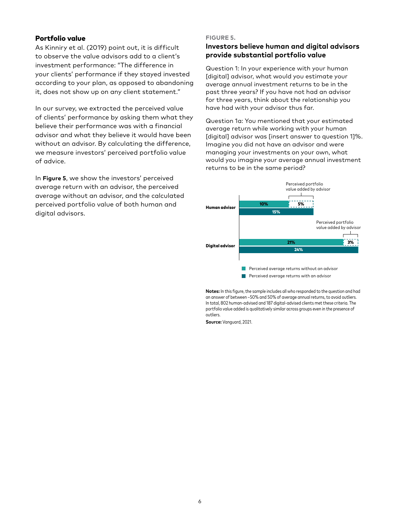#### Portfolio value

As Kinniry et al. (2019) point out, it is difficult to observe the value advisors add to a client's investment performance: "The difference in your clients' performance if they stayed invested according to your plan, as opposed to abandoning it, does not show up on any client statement."

In our survey, we extracted the perceived value of clients' performance by asking them what they believe their performance was with a financial advisor and what they believe it would have been without an advisor. By calculating the difference, we measure investors' perceived portfolio value of advice.

In **Figure 5**, we show the investors' perceived average return with an advisor, the perceived average without an advisor, and the calculated perceived portfolio value of both human and digital advisors.

#### **FIGURE 5.**

## **Investors believe human and digital advisors provide substantial portfolio value**

Question 1: In your experience with your human [digital] advisor, what would you estimate your average annual investment returns to be in the past three years? If you have not had an advisor for three years, think about the relationship you have had with your advisor thus far.

Question 1a: You mentioned that your estimated average return while working with your human [digital] advisor was [insert answer to question 1]%. Imagine you did not have an advisor and were managing your investments on your own, what would you imagine your average annual investment returns to be in the same period?



**Notes:** In this figure, the sample includes all who responded to the question and had an answer of between -50% and 50% of average annual returns, to avoid outliers. In total, 802 human-advised and 187 digital-advised clients met these criteria. The portfolio value added is qualitatively similar across groups even in the presence of outliers.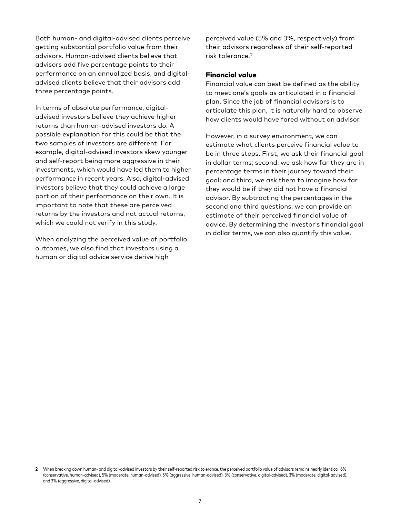Both human- and digital-advised clients perceive getting substantial portfolio value from their advisors. Human-advised clients believe that advisors add five percentage points to their performance on an annualized basis, and digitaladvised clients believe that their advisors add three percentage points.

In terms of absolute performance, digitaladvised investors believe they achieve higher returns than human-advised investors do. A possible explanation for this could be that the two samples of investors are different. For example, digital-advised investors skew younger and self-report being more aggressive in their investments, which would have led them to higher performance in recent years. Also, digital-advised investors believe that they could achieve a large portion of their performance on their own. It is important to note that these are perceived returns by the investors and not actual returns, which we could not verify in this study.

When analyzing the perceived value of portfolio outcomes, we also find that investors using a human or digital advice service derive high

perceived value (5% and 3%, respectively) from their advisors regardless of their self-reported risk tolerance.2

#### Financial value

Financial value can best be defined as the ability to meet one's goals as articulated in a financial plan. Since the job of financial advisors is to articulate this plan, it is naturally hard to observe how clients would have fared without an advisor.

However, in a survey environment, we can estimate what clients perceive financial value to be in three steps. First, we ask their financial goal in dollar terms; second, we ask how far they are in percentage terms in their journey toward their goal; and third, we ask them to imagine how far they would be if they did not have a financial advisor. By subtracting the percentages in the second and third questions, we can provide an estimate of their perceived financial value of advice. By determining the investor's financial goal in dollar terms, we can also quantify this value.

<sup>2</sup> When breaking down human- and digital-advised investors by their self-reported risk tolerance, the perceived portfolio value of advisors remains nearly identical: 6% (conservative, human-advised), 5% (moderate, human-advised), 5% (aggressive, human-advised), 3% (conservative, digital-advised), 3% (moderate, digital-advised), and 3% (aggressive, digital-advised).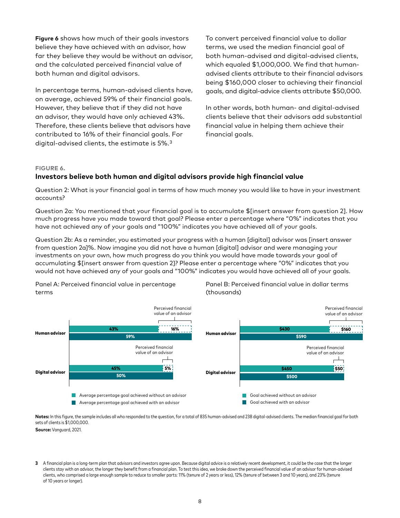**Figure 6** shows how much of their goals investors believe they have achieved with an advisor, how far they believe they would be without an advisor, and the calculated perceived financial value of both human and digital advisors.

In percentage terms, human-advised clients have, on average, achieved 59% of their financial goals. However, they believe that if they did not have an advisor, they would have only achieved 43%. Therefore, these clients believe that advisors have contributed to 16% of their financial goals. For digital-advised clients, the estimate is 5%.3

To convert perceived financial value to dollar terms, we used the median financial goal of both human-advised and digital-advised clients, which equaled \$1,000,000. We find that humanadvised clients attribute to their financial advisors being \$160,000 closer to achieving their financial goals, and digital-advice clients attribute \$50,000.

In other words, both human- and digital-advised clients believe that their advisors add substantial financial value in helping them achieve their financial goals.

#### **FIGURE 6.**

## **Investors believe both human and digital advisors provide high financial value**

Question 2: What is your financial goal in terms of how much money you would like to have in your investment accounts?

Question 2a: You mentioned that your financial goal is to accumulate \$[insert answer from question 2]. How much progress have you made toward that goal? Please enter a percentage where "0%" indicates that you have not achieved any of your goals and "100%" indicates you have achieved all of your goals.

Question 2b: As a reminder, you estimated your progress with a human [digital] advisor was [insert answer from question 2a]%. Now imagine you did not have a human [digital] advisor and were managing your investments on your own, how much progress do you think you would have made towards your goal of accumulating \$[insert answer from question 2]? Please enter a percentage where "0%" indicates that you would not have achieved any of your goals and "100%" indicates you would have achieved all of your goals.

Panel A: Perceived financial value in percentage terms

Panel B: Perceived financial value in dollar terms (thousands)



Notes: In this figure, the sample includes all who responded to the question, for a total of 835 human-advised and 238 digital-advised clients. The median financial goal for both sets of clients is \$1,000,000.

**Source:** Vanguard, 2021.

**3** A financial plan is a long-term plan that advisors and investors agree upon. Because digital advice is a relatively recent development, it could be the case that the longer clients stay with an advisor, the longer they benefit from a financial plan. To test this idea, we broke down the perceived financial value of an advisor for human-advised clients, who comprised a large enough sample to reduce to smaller parts: 11% (tenure of 2 years or less), 12% (tenure of between 3 and 10 years), and 23% (tenure of 10 years or longer).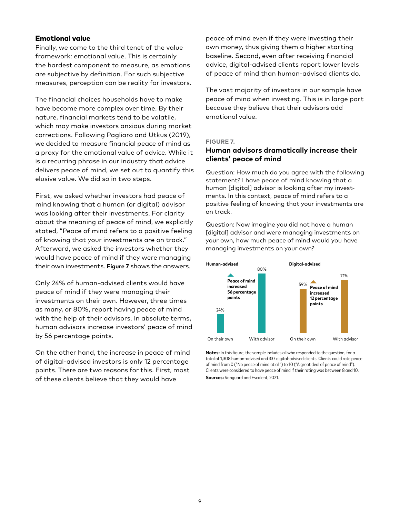#### Emotional value

Finally, we come to the third tenet of the value framework: emotional value. This is certainly the hardest component to measure, as emotions are subjective by definition. For such subjective measures, perception can be reality for investors.

The financial choices households have to make have become more complex over time. By their nature, financial markets tend to be volatile, which may make investors anxious during market corrections. Following Pagliaro and Utkus (2019), we decided to measure financial peace of mind as a proxy for the emotional value of advice. While it is a recurring phrase in our industry that advice delivers peace of mind, we set out to quantify this elusive value. We did so in two steps.

First, we asked whether investors had peace of mind knowing that a human (or digital) advisor was looking after their investments. For clarity about the meaning of peace of mind, we explicitly stated, "Peace of mind refers to a positive feeling of knowing that your investments are on track." Afterward, we asked the investors whether they would have peace of mind if they were managing their own investments. **Figure 7** shows the answers.

Only 24% of human-advised clients would have peace of mind if they were managing their investments on their own. However, three times as many, or 80%, report having peace of mind with the help of their advisors. In absolute terms, human advisors increase investors' peace of mind by 56 percentage points.

On the other hand, the increase in peace of mind of digital-advised investors is only 12 percentage points. There are two reasons for this. First, most of these clients believe that they would have

peace of mind even if they were investing their own money, thus giving them a higher starting baseline. Second, even after receiving financial advice, digital-advised clients report lower levels of peace of mind than human-advised clients do.

The vast majority of investors in our sample have peace of mind when investing. This is in large part because they believe that their advisors add emotional value.

#### **FIGURE 7.**

#### **Human advisors dramatically increase their clients' peace of mind**

Question: How much do you agree with the following statement? I have peace of mind knowing that a human [digital] advisor is looking after my investments. In this context, peace of mind refers to a positive feeling of knowing that your investments are on track.

Question: Now imagine you did not have a human [digital] advisor and were managing investments on your own, how much peace of mind would you have managing investments on your own?



**Notes:** In this figure, the sample includes all who responded to the question, for a total of 1,308 human-advised and 337 digital-advised clients. Clients could rate peace of mind from 0 ("No peace of mind at all") to 10 ("A great deal of peace of mind"). Clients were considered to have peace of mind if their rating was between 8 and 10. **Sources:** Vanguard and Escalent, 2021.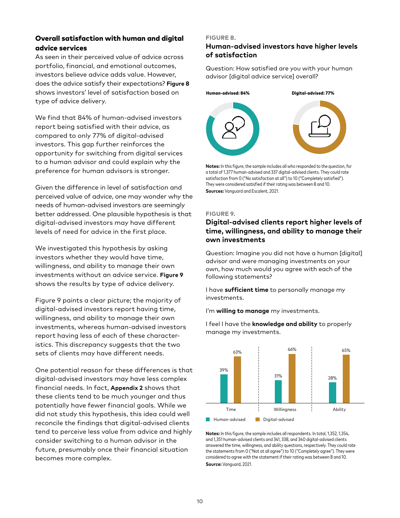## Overall satisfaction with human and digital advice services

As seen in their perceived value of advice across portfolio, financial, and emotional outcomes, investors believe advice adds value. However, does the advice satisfy their expectations? **Figure 8** shows investors' level of satisfaction based on type of advice delivery.

We find that 84% of human-advised investors report being satisfied with their advice, as compared to only 77% of digital-advised investors. This gap further reinforces the opportunity for switching from digital services to a human advisor and could explain why the preference for human advisors is stronger.

Given the difference in level of satisfaction and perceived value of advice, one may wonder why the needs of human-advised investors are seemingly better addressed. One plausible hypothesis is that digital-advised investors may have different levels of need for advice in the first place.

We investigated this hypothesis by asking investors whether they would have time, willingness, and ability to manage their own investments without an advice service. **Figure 9**  shows the results by type of advice delivery.

Figure 9 paints a clear picture; the majority of digital-advised investors report having time, willingness, and ability to manage their own investments, whereas human-advised investors report having less of each of these characteristics. This discrepancy suggests that the two sets of clients may have different needs.

One potential reason for these differences is that digital-advised investors may have less complex financial needs. In fact, **Appendix 2** shows that these clients tend to be much younger and thus potentially have fewer financial goals. While we did not study this hypothesis, this idea could well reconcile the findings that digital-advised clients tend to perceive less value from advice and highly consider switching to a human advisor in the future, presumably once their financial situation becomes more complex.

#### **FIGURE 8.**

## **Human-advised investors have higher levels of satisfaction**

Question: How satisfied are you with your human advisor [digital advice service] overall?



**Notes:** In this figure, the sample includes all who responded to the question, for a total of 1,377 human-advised and 337 digital-advised clients. They could rate satisfaction from 0 ("No satisfaction at all") to 10 ("Completely satisfied"). They were considered satisfied if their rating was between 8 and 10. **Sources:** Vanguard and Escalent, 2021.

#### **FIGURE 9.**

## **Digital-advised clients report higher levels of time, willingness, and ability to manage their own investments**

Question: Imagine you did not have a human [digital] advisor and were managing investments on your own, how much would you agree with each of the following statements?

I have **sufficient time** to personally manage my investments.

I'm **willing to manage** my investments.

I feel I have the **knowledge and ability** to properly manage my investments.



**Notes:** In this figure, the sample includes all respondents. In total, 1,352, 1,354, and 1,351 human-advised clients and 341, 338, and 340 digital-advised clients answered the time, willingness, and ability questions, respectively. They could rate the statements from 0 ("Not at all agree") to 10 ("Completely agree"). They were considered to agree with the statement if their rating was between 8 and 10. **Source:** Vanguard, 2021.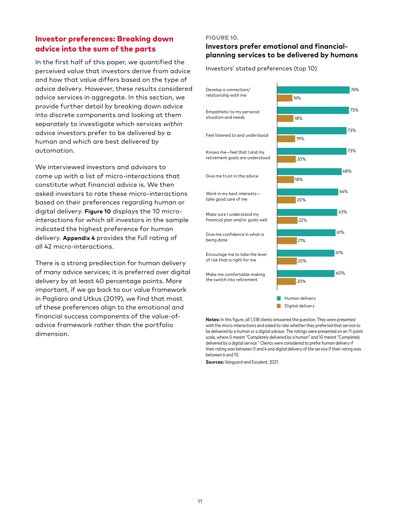# Investor preferences: Breaking down advice into the sum of the parts

In the first half of this paper, we quantified the perceived value that investors derive from advice and how that value differs based on the type of advice delivery. However, these results considered advice services in aggregate. In this section, we provide further detail by breaking down advice into discrete components and looking at them separately to investigate which services *within* advice investors prefer to be delivered by a human and which are best delivered by automation.

We interviewed investors and advisors to come up with a list of micro-interactions that constitute what financial advice is. We then asked investors to rate these micro-interactions based on their preferences regarding human or digital delivery. **Figure 10** displays the 10 microinteractions for which all investors in the sample indicated the highest preference for human delivery. **Appendix 4** provides the full rating of all 42 micro-interactions.

There is a strong predilection for human delivery of many advice services; it is preferred over digital delivery by at least 40 percentage points. More important, if we go back to our value framework in Pagliaro and Utkus (2019), we find that most of these preferences align to the emotional and financial success components of the value-ofadvice framework rather than the portfolio dimension.

#### **FIGURE 10.**

## **Investors prefer emotional and financialplanning services to be delivered by humans**

Investors' stated preferences (top 10)



**Notes:** In this figure, all 1,518 clients answered the question. They were presented with the micro-interactions and asked to rate whether they preferred that service to be delivered by a human or a digital advisor. The ratings were presented on an 11-point scale, where 0 meant "Completely delivered by a human" and 10 meant "Completely delivered by a digital service." Clients were considered to prefer human delivery if their rating was between 0 and 4 and digital delivery of the service if their rating was between 6 and 10.

**Sources:** Vanguard and Escalent, 2021.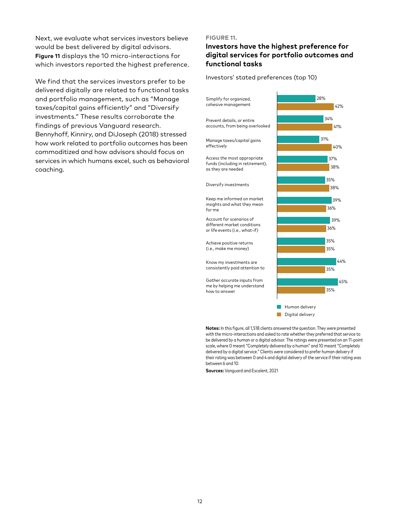Next, we evaluate what services investors believe would be best delivered by digital advisors. **Figure 11** displays the 10 micro-interactions for which investors reported the highest preference.

We find that the services investors prefer to be delivered digitally are related to functional tasks and portfolio management, such as "Manage taxes/capital gains efficiently" and "Diversify investments." These results corroborate the findings of previous Vanguard research. Bennyhoff, Kinniry, and DiJoseph (2018) stressed how work related to portfolio outcomes has been commoditized and how advisors should focus on services in which humans excel, such as behavioral coaching.

#### **FIGURE 11.**

## **Investors have the highest preference for digital services for portfolio outcomes and functional tasks**

Investors' stated preferences (top 10)



**Notes:** In this figure, all 1,518 clients answered the question. They were presented with the micro-interactions and asked to rate whether they preferred that service to be delivered by a human or a digital advisor. The ratings were presented on an 11-point scale, where 0 meant "Completely delivered by a human" and 10 meant "Completely delivered by a digital service." Clients were considered to prefer human delivery if their rating was between 0 and 4 and digital delivery of the service if their rating was between 6 and 10.

**Sources:** Vanguard and Escalent, 2021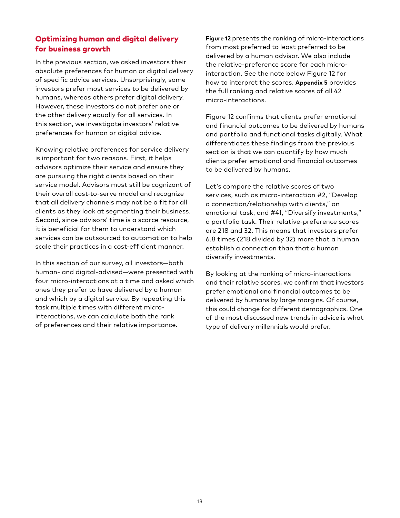# Optimizing human and digital delivery for business growth

In the previous section, we asked investors their absolute preferences for human or digital delivery of specific advice services. Unsurprisingly, some investors prefer most services to be delivered by humans, whereas others prefer digital delivery. However, these investors do not prefer one or the other delivery equally for all services. In this section, we investigate investors' relative preferences for human or digital advice.

Knowing relative preferences for service delivery is important for two reasons. First, it helps advisors optimize their service and ensure they are pursuing the right clients based on their service model. Advisors must still be cognizant of their overall cost-to-serve model and recognize that all delivery channels may not be a fit for all clients as they look at segmenting their business. Second, since advisors' time is a scarce resource, it is beneficial for them to understand which services can be outsourced to automation to help scale their practices in a cost-efficient manner.

In this section of our survey, all investors—both human- and digital-advised—were presented with four micro-interactions at a time and asked which ones they prefer to have delivered by a human and which by a digital service. By repeating this task multiple times with different microinteractions, we can calculate both the rank of preferences and their relative importance.

**Figure 12** presents the ranking of micro-interactions from most preferred to least preferred to be delivered by a human advisor. We also include the relative-preference score for each microinteraction. See the note below Figure 12 for how to interpret the scores. **Appendix 5** provides the full ranking and relative scores of all 42 micro-interactions.

Figure 12 confirms that clients prefer emotional and financial outcomes to be delivered by humans and portfolio and functional tasks digitally. What differentiates these findings from the previous section is that we can quantify by how much clients prefer emotional and financial outcomes to be delivered by humans.

Let's compare the relative scores of two services, such as micro-interaction #2, "Develop a connection/relationship with clients," an emotional task, and #41, "Diversify investments," a portfolio task. Their relative-preference scores are 218 and 32. This means that investors prefer 6.8 times (218 divided by 32) more that a human establish a connection than that a human diversify investments.

By looking at the ranking of micro-interactions and their relative scores, we confirm that investors prefer emotional and financial outcomes to be delivered by humans by large margins. Of course, this could change for different demographics. One of the most discussed new trends in advice is what type of delivery millennials would prefer.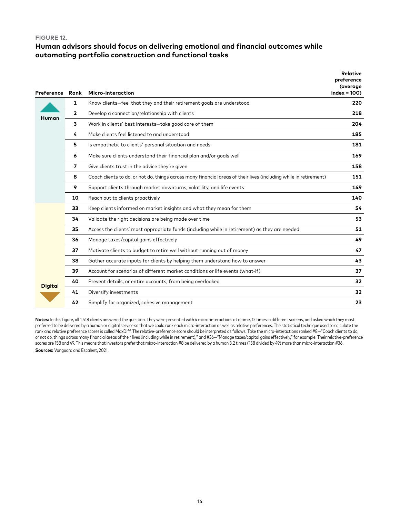#### **FIGURE 12.**

## **Human advisors should focus on delivering emotional and financial outcomes while automating portfolio construction and functional tasks**

| Preference     | Rank           | Micro-interaction                                                                                                 | <b>Relative</b><br>preference<br>(average<br>$index = 100$ |
|----------------|----------------|-------------------------------------------------------------------------------------------------------------------|------------------------------------------------------------|
|                | 1              | Know clients-feel that they and their retirement goals are understood                                             | 220                                                        |
| Human          | $\overline{2}$ | Develop a connection/relationship with clients                                                                    | 218                                                        |
|                | 3              | Work in clients' best interests-take good care of them                                                            | 204                                                        |
|                | 4              | Make clients feel listened to and understood                                                                      | 185                                                        |
|                | 5              | Is empathetic to clients' personal situation and needs                                                            | 181                                                        |
|                | 6              | Make sure clients understand their financial plan and/or goals well                                               | 169                                                        |
|                | 7              | Give clients trust in the advice they're given                                                                    | 158                                                        |
|                | 8              | Coach clients to do, or not do, things across many financial areas of their lives (including while in retirement) | 151                                                        |
|                | 9              | Support clients through market downturns, volatility, and life events                                             | 149                                                        |
|                | 10             | Reach out to clients proactively                                                                                  | 140                                                        |
|                | 33             | Keep clients informed on market insights and what they mean for them                                              | 54                                                         |
|                | 34             | Validate the right decisions are being made over time                                                             | 53                                                         |
|                | 35             | Access the clients' most appropriate funds (including while in retirement) as they are needed                     | 51                                                         |
|                | 36             | Manage taxes/capital gains effectively                                                                            | 49                                                         |
|                | 37             | Motivate clients to budget to retire well without running out of money                                            | 47                                                         |
| <b>Digital</b> | 38             | Gather accurate inputs for clients by helping them understand how to answer                                       | 43                                                         |
|                | 39             | Account for scenarios of different market conditions or life events (what-if)                                     | 37                                                         |
|                | 40             | Prevent details, or entire accounts, from being overlooked                                                        | 32                                                         |
|                | 41             | Diversify investments                                                                                             | 32                                                         |
|                | 42             | Simplify for organized, cohesive management                                                                       | 23                                                         |

Notes: In this figure, all 1,518 clients answered the question. They were presented with 4 micro-interactions at a time, 12 times in different screens, and asked which they most preferred to be delivered by a human or digital service so that we could rank each micro-interaction as well as relative preferences. The statistical technique used to calculate the rank and relative preference scores is called MaxDiff. The relative-preference score should be interpreted as follows. Take the micro-interactions ranked #8-"Coach clients to do, or not do, things across many financial areas of their lives (including while in retirement)," and #36—"Manage taxes/capital gains effectively," for example. Their relative-preference scores are 158 and 49. This means that investors prefer that micro-interaction #8 be delivered by a human 3.2 times (158 divided by 49) more than micro-interaction #36.

**Sources:** Vanguard and Escalent, 2021.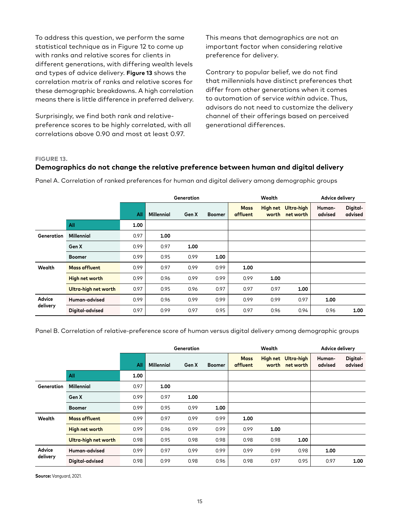To address this question, we perform the same statistical technique as in Figure 12 to come up with ranks and relative scores for clients in different generations, with differing wealth levels and types of advice delivery. **Figure 13** shows the correlation matrix of ranks and relative scores for these demographic breakdowns. A high correlation means there is little difference in preferred delivery.

Surprisingly, we find both rank and relativepreference scores to be highly correlated, with all correlations above 0.90 and most at least 0.97.

This means that demographics are not an important factor when considering relative preference for delivery.

Contrary to popular belief, we do not find that millennials have distinct preferences that differ from other generations when it comes to automation of service *within* advice. Thus, advisors do not need to customize the delivery channel of their offerings based on perceived generational differences.

#### **FIGURE 13.**

### **Demographics do not change the relative preference between human and digital delivery**

|                    |                      |      |                   | Generation |               | Wealth                  |                          |                         | <b>Advice delivery</b> |                     |
|--------------------|----------------------|------|-------------------|------------|---------------|-------------------------|--------------------------|-------------------------|------------------------|---------------------|
|                    |                      | All  | <b>Millennial</b> | Gen X      | <b>Boomer</b> | <b>Mass</b><br>affluent | <b>High net</b><br>worth | Ultra-high<br>net worth | Human-<br>advised      | Digital-<br>advised |
|                    | All                  | 1.00 |                   |            |               |                         |                          |                         |                        |                     |
| Generation         | <b>Millennial</b>    | 0.97 | 1.00              |            |               |                         |                          |                         |                        |                     |
|                    | Gen X                | 0.99 | 0.97              | 1.00       |               |                         |                          |                         |                        |                     |
|                    | <b>Boomer</b>        | 0.99 | 0.95              | 0.99       | 1.00          |                         |                          |                         |                        |                     |
| Wealth             | <b>Mass affluent</b> | 0.99 | 0.97              | 0.99       | 0.99          | 1.00                    |                          |                         |                        |                     |
|                    | High net worth       | 0.99 | 0.96              | 0.99       | 0.99          | 0.99                    | 1.00                     |                         |                        |                     |
|                    | Ultra-high net worth | 0.97 | 0.95              | 0.96       | 0.97          | 0.97                    | 0.97                     | 1.00                    |                        |                     |
| Advice<br>delivery | Human-advised        | 0.99 | 0.96              | 0.99       | 0.99          | 0.99                    | 0.99                     | 0.97                    | 1.00                   |                     |
|                    | Digital-advised      | 0.97 | 0.99              | 0.97       | 0.95          | 0.97                    | 0.96                     | 0.94                    | 0.96                   | 1.00                |

Panel A. Correlation of ranked preferences for human and digital delivery among demographic groups

Panel B. Correlation of relative-preference score of human versus digital delivery among demographic groups

|                    |                       |      |                   | Generation |               | Wealth                  |                          |                         | <b>Advice delivery</b> |                     |
|--------------------|-----------------------|------|-------------------|------------|---------------|-------------------------|--------------------------|-------------------------|------------------------|---------------------|
|                    |                       | All  | <b>Millennial</b> | Gen X      | <b>Boomer</b> | <b>Mass</b><br>affluent | <b>High net</b><br>worth | Ultra-high<br>net worth | Human-<br>advised      | Digital-<br>advised |
|                    | All                   | 1.00 |                   |            |               |                         |                          |                         |                        |                     |
| Generation         | <b>Millennial</b>     | 0.97 | 1.00              |            |               |                         |                          |                         |                        |                     |
|                    | Gen X                 | 0.99 | 0.97              | 1.00       |               |                         |                          |                         |                        |                     |
|                    | <b>Boomer</b>         | 0.99 | 0.95              | 0.99       | 1.00          |                         |                          |                         |                        |                     |
| Wealth             | <b>Mass affluent</b>  | 0.99 | 0.97              | 0.99       | 0.99          | 1.00                    |                          |                         |                        |                     |
|                    | <b>High net worth</b> | 0.99 | 0.96              | 0.99       | 0.99          | 0.99                    | 1.00                     |                         |                        |                     |
|                    | Ultra-high net worth  | 0.98 | 0.95              | 0.98       | 0.98          | 0.98                    | 0.98                     | 1.00                    |                        |                     |
| Advice<br>delivery | Human-advised         | 0.99 | 0.97              | 0.99       | 0.99          | 0.99                    | 0.99                     | 0.98                    | 1.00                   |                     |
|                    | Digital-advised       | 0.98 | 0.99              | 0.98       | 0.96          | 0.98                    | 0.97                     | 0.95                    | 0.97                   | 1.00                |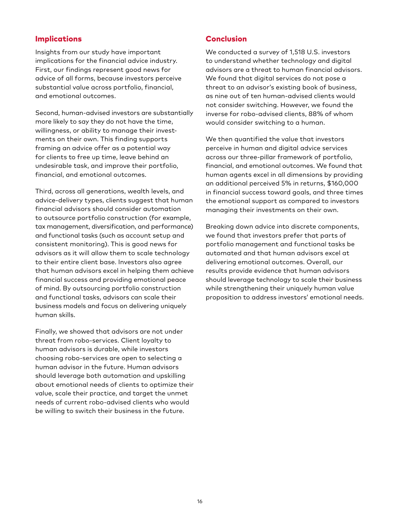## Implications

Insights from our study have important implications for the financial advice industry. First, our findings represent good news for advice of all forms, because investors perceive substantial value across portfolio, financial, and emotional outcomes.

Second, human-advised investors are substantially more likely to say they do not have the time, willingness, or ability to manage their investments on their own. This finding supports framing an advice offer as a potential way for clients to free up time, leave behind an undesirable task, and improve their portfolio, financial, and emotional outcomes.

Third, across all generations, wealth levels, and advice-delivery types, clients suggest that human financial advisors should consider automation to outsource portfolio construction (for example, tax management, diversification, and performance) and functional tasks (such as account setup and consistent monitoring). This is good news for advisors as it will allow them to scale technology to their entire client base. Investors also agree that human advisors excel in helping them achieve financial success and providing emotional peace of mind. By outsourcing portfolio construction and functional tasks, advisors can scale their business models and focus on delivering uniquely human skills.

Finally, we showed that advisors are not under threat from robo-services. Client loyalty to human advisors is durable, while investors choosing robo-services are open to selecting a human advisor in the future. Human advisors should leverage both automation and upskilling about emotional needs of clients to optimize their value, scale their practice, and target the unmet needs of current robo-advised clients who would be willing to switch their business in the future.

## Conclusion

We conducted a survey of 1,518 U.S. investors to understand whether technology and digital advisors are a threat to human financial advisors. We found that digital services do not pose a threat to an advisor's existing book of business, as nine out of ten human-advised clients would not consider switching. However, we found the inverse for robo-advised clients, 88% of whom would consider switching to a human.

We then quantified the value that investors perceive in human and digital advice services across our three-pillar framework of portfolio, financial, and emotional outcomes. We found that human agents excel in all dimensions by providing an additional perceived 5% in returns, \$160,000 in financial success toward goals, and three times the emotional support as compared to investors managing their investments on their own.

Breaking down advice into discrete components, we found that investors prefer that parts of portfolio management and functional tasks be automated and that human advisors excel at delivering emotional outcomes. Overall, our results provide evidence that human advisors should leverage technology to scale their business while strengthening their uniquely human value proposition to address investors' emotional needs.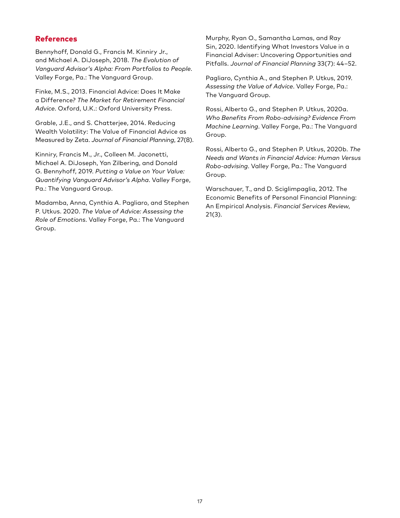## References

Bennyhoff, Donald G., Francis M. Kinniry Jr., and Michael A. DiJoseph, 2018. *The Evolution of Vanguard Advisor's Alpha: From Portfolios to People*. Valley Forge, Pa.: The Vanguard Group.

Finke, M.S., 2013. Financial Advice: Does It Make a Difference? *The Market for Retirement Financial Advice*. Oxford, U.K.: Oxford University Press.

Grable, J.E., and S. Chatterjee, 2014. Reducing Wealth Volatility: The Value of Financial Advice as Measured by Zeta. *Journal of Financial Planning*, 27(8).

Kinniry, Francis M., Jr., Colleen M. Jaconetti, Michael A. DiJoseph, Yan Zilbering, and Donald G. Bennyhoff, 2019. *Putting a Value on Your Value: Quantifying Vanguard Advisor's Alpha*. Valley Forge, Pa.: The Vanguard Group.

Madamba, Anna, Cynthia A. Pagliaro, and Stephen P. Utkus. 2020. *The Value of Advice: Assessing the Role of Emotions*. Valley Forge, Pa.: The Vanguard Group.

Murphy, Ryan O., Samantha Lamas, and Ray Sin, 2020. Identifying What Investors Value in a Financial Adviser: Uncovering Opportunities and Pitfalls. *Journal of Financial Planning* 33(7): 44–52.

Pagliaro, Cynthia A., and Stephen P. Utkus, 2019. *Assessing the Value of Advice*. Valley Forge, Pa.: The Vanguard Group.

Rossi, Alberto G., and Stephen P. Utkus, 2020a. *Who Benefits From Robo-advising? Evidence From Machine Learning*. Valley Forge, Pa.: The Vanguard Group.

Rossi, Alberto G., and Stephen P. Utkus, 2020b. *The Needs and Wants in Financial Advice: Human Versus Robo-advising*. Valley Forge, Pa.: The Vanguard Group.

Warschauer, T., and D. Sciglimpaglia, 2012. The Economic Benefits of Personal Financial Planning: An Empirical Analysis. *Financial Services Review*, 21(3).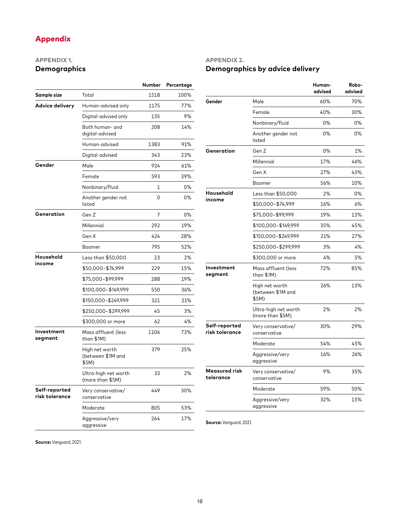# Appendix

## **APPENDIX 1. Demographics**

|                                 |                                              | Number | Percentage |
|---------------------------------|----------------------------------------------|--------|------------|
| Sample size                     | Total                                        | 1518   | 100%       |
| <b>Advice delivery</b>          | Human-advised only                           | 1175   | 77%        |
|                                 | Digital-advised only                         | 135    | 9%         |
|                                 | Both human- and<br>digital-advised           | 208    | 14%        |
|                                 | Human-advised                                | 1383   | 91%        |
|                                 | Digital-advised                              | 343    | 23%        |
| Gender                          | Male                                         | 924    | 61%        |
|                                 | Female                                       | 593    | 39%        |
|                                 | Nonbinary/fluid                              | 1      | 0%         |
|                                 | Another gender not<br>listed                 | 0      | 0%         |
| Generation                      | Gen Z                                        | 7      | 0%         |
|                                 | Millennial                                   | 292    | 19%        |
|                                 | Gen X                                        | 424    | 28%        |
|                                 | Boomer                                       | 795    | 52%        |
| Household                       | Less than \$50,000                           | 23     | 2%         |
| income                          | \$50,000-\$74,999                            | 229    | 15%        |
|                                 | \$75,000-\$99,999                            | 288    | 19%        |
|                                 | \$100,000-\$149,999                          | 550    | 36%        |
|                                 | \$150,000-\$249,999                          | 321    | 21%        |
|                                 | \$250,000-\$299,999                          | 45     | 3%         |
|                                 | \$300,000 or more                            | 62     | 4%         |
| Investment<br>segment           | Mass affluent (less<br>than \$1M)            | 1106   | 73%        |
|                                 | High net worth<br>(between \$1M and<br>\$5M) | 379    | 25%        |
|                                 | Ultra-high net worth<br>(more than \$5M)     | 33     | 2%         |
| Self-reported<br>risk tolerance | Very conservative/<br>conservative           | 449    | 30%        |
|                                 | Moderate                                     | 805    | 53%        |
|                                 | Aggressive/very<br>aggressive                | 264    | 17%        |

# **APPENDIX 2. Demographics by advice delivery**

|                                 |                                              | Human-<br>advised | Robo-<br>advised |
|---------------------------------|----------------------------------------------|-------------------|------------------|
| Gender                          | Male                                         | 60%               | 70%              |
|                                 | Female                                       | 40%               | 30%              |
|                                 | Nonbinary/fluid                              | 0%                | 0%               |
|                                 | Another gender not<br>listed                 | 0%                | $0\%$            |
| Generation                      | Gen Z                                        | 0%                | 1%               |
|                                 | Millennial                                   | 17%               | 46%              |
|                                 | Gen X                                        | 27%               | 43%              |
|                                 | Boomer                                       | 56%               | 10%              |
| Household                       | Less than \$50,000                           | 2%                | 0%               |
| income                          | \$50,000-\$74,999                            | 16%               | 6%               |
|                                 | \$75,000-\$99,999                            | 19%               | 13%              |
|                                 | \$100,000-\$149,999                          | 35%               | 45%              |
|                                 | \$150,000-\$249,999                          | 21%               | 27%              |
|                                 | \$250,000-\$299,999                          | 3%                | 4%               |
|                                 | \$300,000 or more                            | 4%                | 5%               |
| Investment<br>segment           | Mass affluent (less<br>than \$1M)            | 72%               | 85%              |
|                                 | High net worth<br>(between \$1M and<br>\$5M) | 26%               | 13%              |
|                                 | Ultra-high net worth<br>(more than \$5M)     | 2%                | 2%               |
| Self-reported<br>risk tolerance | Very conservative/<br>conservative           | 30%               | 29%              |
|                                 | Moderate                                     | 54%               | 45%              |
|                                 | Aggressive/very<br>aggressive                | 16%               | 26%              |
| Measured risk<br>tolerance      | Very conservative/<br>conservative           | 9%                | 35%              |
|                                 | Moderate                                     | 59%               | 50%              |
|                                 | Aggressive/very<br>aggressive                | 32%               | 15%              |

**Source:** Vanguard, 2021.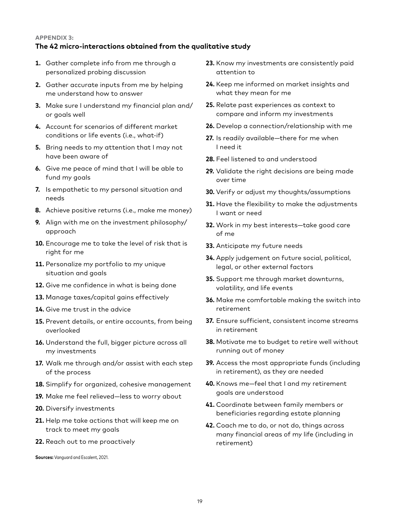#### **APPENDIX 3:**

#### **The 42 micro-interactions obtained from the qualitative study**

- **1.** Gather complete info from me through a personalized probing discussion
- **2.** Gather accurate inputs from me by helping me understand how to answer
- **3.** Make sure I understand my financial plan and/ or goals well
- **4.** Account for scenarios of different market conditions or life events (i.e., what-if)
- **5.** Bring needs to my attention that I may not have been aware of
- **6.** Give me peace of mind that I will be able to fund my goals
- **7.** Is empathetic to my personal situation and needs
- **8.** Achieve positive returns (i.e., make me money)
- **9.** Align with me on the investment philosophy/ approach
- **10.** Encourage me to take the level of risk that is right for me
- **11.** Personalize my portfolio to my unique situation and goals
- **12.** Give me confidence in what is being done
- **13.** Manage taxes/capital gains effectively
- **14.** Give me trust in the advice
- **15.** Prevent details, or entire accounts, from being overlooked
- **16.** Understand the full, bigger picture across all my investments
- **17.** Walk me through and/or assist with each step of the process
- **18.** Simplify for organized, cohesive management
- **19.** Make me feel relieved—less to worry about
- **20.** Diversify investments
- **21.** Help me take actions that will keep me on track to meet my goals
- **22.** Reach out to me proactively

**Sources:** Vanguard and Escalent, 2021.

- **23.** Know my investments are consistently paid attention to
- **24.** Keep me informed on market insights and what they mean for me
- **25.** Relate past experiences as context to compare and inform my investments
- **26.** Develop a connection/relationship with me
- **27.** Is readily available—there for me when I need it
- **28.** Feel listened to and understood
- **29.** Validate the right decisions are being made over time
- **30.** Verify or adjust my thoughts/assumptions
- **31.** Have the flexibility to make the adjustments I want or need
- **32.** Work in my best interests—take good care of me
- **33.** Anticipate my future needs
- **34.** Apply judgement on future social, political, legal, or other external factors
- **35.** Support me through market downturns, volatility, and life events
- **36.** Make me comfortable making the switch into retirement
- **37.** Ensure sufficient, consistent income streams in retirement
- **38.** Motivate me to budget to retire well without running out of money
- **39.** Access the most appropriate funds (including in retirement), as they are needed
- **40.** Knows me—feel that I and my retirement goals are understood
- **41.** Coordinate between family members or beneficiaries regarding estate planning
- **42.** Coach me to do, or not do, things across many financial areas of my life (including in retirement)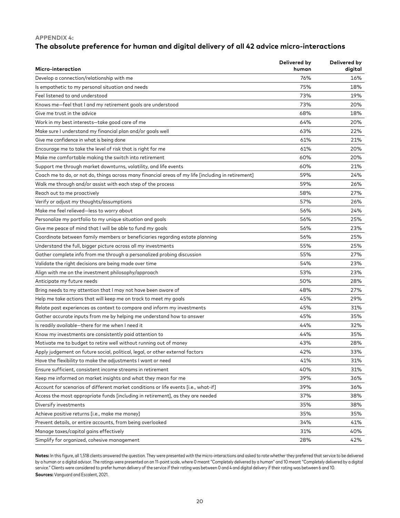#### **APPENDIX 4:**

## **The absolute preference for human and digital delivery of all 42 advice micro-interactions**

| Micro-interaction                                                                                  | Delivered by<br>human | Delivered by<br>digital |
|----------------------------------------------------------------------------------------------------|-----------------------|-------------------------|
| Develop a connection/relationship with me                                                          | 76%                   | 16%                     |
| Is empathetic to my personal situation and needs                                                   | 75%                   | 18%                     |
| Feel listened to and understood                                                                    | 73%                   | 19%                     |
| Knows me-feel that I and my retirement goals are understood                                        | 73%                   | 20%                     |
| Give me trust in the advice                                                                        | 68%                   | 18%                     |
| Work in my best interests-take good care of me                                                     | 64%                   | 20%                     |
| Make sure I understand my financial plan and/or goals well                                         | 63%                   | 22%                     |
| Give me confidence in what is being done                                                           | 61%                   | 21%                     |
| Encourage me to take the level of risk that is right for me                                        | 61%                   | 20%                     |
| Make me comfortable making the switch into retirement                                              | 60%                   | 20%                     |
| Support me through market downturns, volatility, and life events                                   | 60%                   | 21%                     |
| Coach me to do, or not do, things across many financial areas of my life [including in retirement] | 59%                   | 24%                     |
| Walk me through and/or assist with each step of the process                                        | 59%                   | 26%                     |
| Reach out to me proactively                                                                        | 58%                   | 27%                     |
| Verify or adjust my thoughts/assumptions                                                           | 57%                   | 26%                     |
| Make me feel relieved-less to worry about                                                          | 56%                   | 24%                     |
| Personalize my portfolio to my unique situation and goals                                          | 56%                   | 25%                     |
|                                                                                                    | 56%                   | 23%                     |
| Give me peace of mind that I will be able to fund my goals                                         |                       | 25%                     |
| Coordinate between family members or beneficiaries regarding estate planning                       | 56%                   |                         |
| Understand the full, bigger picture across all my investments                                      | 55%                   | 25%                     |
| Gather complete info from me through a personalized probing discussion                             | 55%                   | 27%                     |
| Validate the right decisions are being made over time                                              | 54%                   | 23%                     |
| Align with me on the investment philosophy/approach                                                | 53%                   | 23%                     |
| Anticipate my future needs                                                                         | 50%                   | 28%                     |
| Bring needs to my attention that I may not have been aware of                                      | 48%                   | 27%                     |
| Help me take actions that will keep me on track to meet my goals                                   | 45%                   | 29%                     |
| Relate past experiences as context to compare and inform my investments                            | 45%                   | 31%                     |
| Gather accurate inputs from me by helping me understand how to answer                              | 45%                   | 35%                     |
| Is readily available-there for me when I need it                                                   | 44%                   | 32%                     |
| Know my investments are consistently paid attention to                                             | 44%                   | 35%                     |
| Motivate me to budget to retire well without running out of money                                  | 43%                   | 28%                     |
| Apply judgement on future social, political, legal, or other external factors                      | 42%                   | 33%                     |
| Have the flexibility to make the adjustments I want or need                                        | 41%                   | 31%                     |
| Ensure sufficient, consistent income streams in retirement                                         | 40%                   | 31%                     |
| Keep me informed on market insights and what they mean for me                                      | 39%                   | 36%                     |
| Account for scenarios of different market conditions or life events [i.e., what-if]                | 39%                   | 36%                     |
| Access the most appropriate funds [including in retirement], as they are needed                    | 37%                   | 38%                     |
| Diversify investments                                                                              | 35%                   | 38%                     |
| Achieve positive returns [i.e., make me money]                                                     | 35%                   | 35%                     |
| Prevent details, or entire accounts, from being overlooked                                         | 34%                   | 41%                     |
| Manage taxes/capital gains effectively                                                             | 31%                   | 40%                     |
| Simplify for organized, cohesive management                                                        | 28%                   | 42%                     |

Notes: In this figure, all 1,518 clients answered the question. They were presented with the micro-interactions and asked to rate whether they preferred that service to be delivered by a human or a digital advisor. The ratings were presented on an 11-point scale, where 0 meant "Completely delivered by a human" and 10 meant "Completely delivered by a digital service." Clients were considered to prefer human delivery of the service if their rating was between 0 and 4 and digital delivery if their rating was between 6 and 10. **Sources:** Vanguard and Escalent, 2021.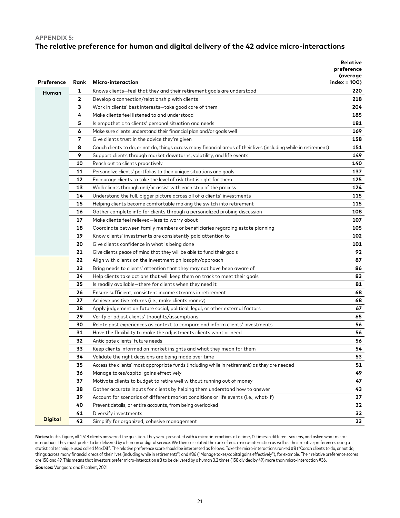#### **APPENDIX 5:**

## **The relative preference for human and digital delivery of the 42 advice micro-interactions**

|                   |              |                                                                                                                   | <b>Relative</b>        |
|-------------------|--------------|-------------------------------------------------------------------------------------------------------------------|------------------------|
|                   |              |                                                                                                                   | preference<br>(average |
| <b>Preference</b> | Rank         | Micro-interaction                                                                                                 | $index = 100$          |
| Human             | 1            | Knows clients-feel that they and their retirement goals are understood                                            | 220                    |
|                   | $\mathbf{2}$ | Develop a connection/relationship with clients                                                                    | 218                    |
|                   | З            | Work in clients' best interests-take good care of them                                                            | 204                    |
|                   | 4            | Make clients feel listened to and understood                                                                      | 185                    |
|                   | 5            | Is empathetic to clients' personal situation and needs                                                            | 181                    |
|                   | 6            | Make sure clients understand their financial plan and/or goals well                                               | 169                    |
|                   | 7            | Give clients trust in the advice they're given                                                                    | 158                    |
|                   | 8            | Coach clients to do, or not do, things across many financial areas of their lives (including while in retirement) | 151                    |
|                   | 9            | Support clients through market downturns, volatility, and life events                                             | 149                    |
|                   | 10           | Reach out to clients proactively                                                                                  | 140                    |
|                   | 11           | Personalize clients' portfolios to their unique situations and goals                                              | 137                    |
|                   | 12           | Encourage clients to take the level of risk that is right for them                                                | 125                    |
|                   | 13           | Walk clients through and/or assist with each step of the process                                                  | 124                    |
|                   | 14           | Understand the full, bigger picture across all of a clients' investments                                          | 115                    |
|                   | 15           | Helping clients become comfortable making the switch into retirement                                              | 115                    |
|                   | 16           | Gather complete info for clients through a personalized probing discussion                                        | 108                    |
|                   | 17           | Make clients feel relieved-less to worry about                                                                    | 107                    |
|                   | 18           | Coordinate between family members or beneficiaries regarding estate planning                                      | 105                    |
|                   | 19           | Know clients' investments are consistently paid attention to                                                      | 102                    |
|                   | 20           | Give clients confidence in what is being done                                                                     | 101                    |
|                   | 21           | Give clients peace of mind that they will be able to fund their goals                                             | 92                     |
|                   | 22           | Align with clients on the investment philosophy/approach                                                          | 87                     |
|                   | 23           | Bring needs to clients' attention that they may not have been aware of                                            | 86                     |
|                   | 24           | Help clients take actions that will keep them on track to meet their goals                                        | 83                     |
|                   | 25           | Is readily available-there for clients when they need it                                                          | 81                     |
|                   | 26           | Ensure sufficient, consistent income streams in retirement                                                        | 68                     |
|                   | 27           | Achieve positive returns (i.e., make clients money)                                                               | 68                     |
|                   | 28           | Apply judgement on future social, political, legal, or other external factors                                     | 67                     |
|                   | 29           | Verify or adjust clients' thoughts/assumptions                                                                    | 65                     |
|                   | 30           | Relate past experiences as context to compare and inform clients' investments                                     | 56                     |
|                   | 31           | Have the flexibility to make the adjustments clients want or need                                                 | 56                     |
|                   | 32           | Anticipate clients' future needs                                                                                  | 56                     |
|                   | 33           | Keep clients informed on market insights and what they mean for them                                              | 54                     |
|                   | 34           | Validate the right decisions are being made over time                                                             | 53                     |
|                   | 35           | Access the clients' most appropriate funds (including while in retirement) as they are needed                     | 51                     |
|                   | 36           | Manage taxes/capital gains effectively                                                                            | 49                     |
|                   | 37           | Motivate clients to budget to retire well without running out of money                                            | 47                     |
|                   | 38           | Gather accurate inputs for clients by helping them understand how to answer                                       | 43                     |
|                   | 39           | Account for scenarios of different market conditions or life events (i.e., what-if)                               | 37                     |
|                   | 40           | Prevent details, or entire accounts, from being overlooked                                                        | 32                     |
|                   | 41           | Diversify investments                                                                                             | 32                     |
| <b>Digital</b>    | 42           | Simplify for organized, cohesive management                                                                       | 23                     |

Notes: In this figure, all 1,518 clients answered the question. They were presented with 4 micro-interactions at a time, 12 times in different screens, and asked what microinteractions they most prefer to be delivered by a human or digital service. We then calculated the rank of each micro-interaction as well as their relative preferences using a statistical technique used called MaxDiff. The relative preference score should be interpreted as follows. Take the micro-interactions ranked #8 ("Coach clients to do, or not do, things across many financial areas of their lives (including while in retirement)") and #36 ("Manage taxes/capital gains effectively"), for example. Their relative preference scores are 158 and 49. This means that investors prefer micro-interaction #8 to be delivered by a human 3.2 times (158 divided by 49) more than micro-interaction #36. **Sources:** Vanguard and Escalent, 2021.